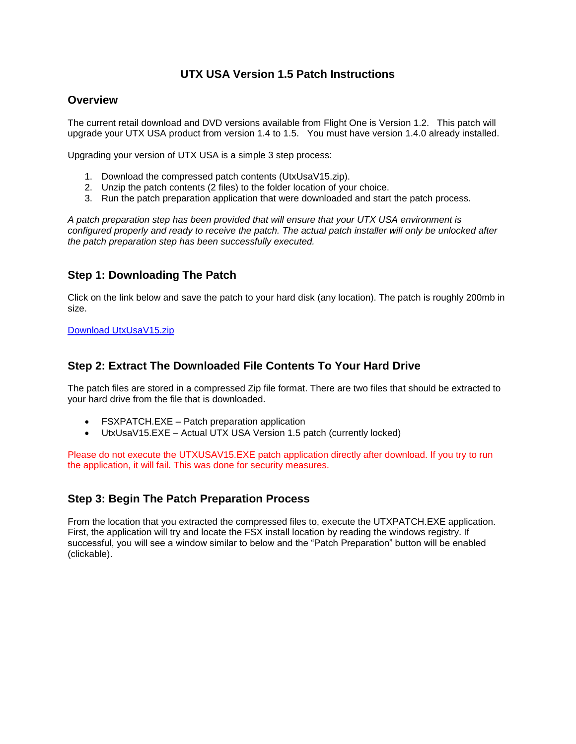## **UTX USA Version 1.5 Patch Instructions**

#### **Overview**

The current retail download and DVD versions available from Flight One is Version 1.2. This patch will upgrade your UTX USA product from version 1.4 to 1.5. You must have version 1.4.0 already installed.

Upgrading your version of UTX USA is a simple 3 step process:

- 1. Download the compressed patch contents (UtxUsaV15.zip).
- 2. Unzip the patch contents (2 files) to the folder location of your choice.
- 3. Run the patch preparation application that were downloaded and start the patch process.

*A patch preparation step has been provided that will ensure that your UTX USA environment is configured properly and ready to receive the patch. The actual patch installer will only be unlocked after the patch preparation step has been successfully executed.* 

## **Step 1: Downloading The Patch**

Click on the link below and save the patch to your hard disk (any location). The patch is roughly 200mb in size.

[Download UtxUsaV15.zip](http://files.100megabyte.com/ultterrain/UtxUsaV15.zip)

#### **Step 2: Extract The Downloaded File Contents To Your Hard Drive**

The patch files are stored in a compressed Zip file format. There are two files that should be extracted to your hard drive from the file that is downloaded.

- FSXPATCH.EXE Patch preparation application
- UtxUsaV15.EXE Actual UTX USA Version 1.5 patch (currently locked)

Please do not execute the UTXUSAV15.EXE patch application directly after download. If you try to run the application, it will fail. This was done for security measures.

## **Step 3: Begin The Patch Preparation Process**

From the location that you extracted the compressed files to, execute the UTXPATCH.EXE application. First, the application will try and locate the FSX install location by reading the windows registry. If successful, you will see a window similar to below and the "Patch Preparation" button will be enabled (clickable).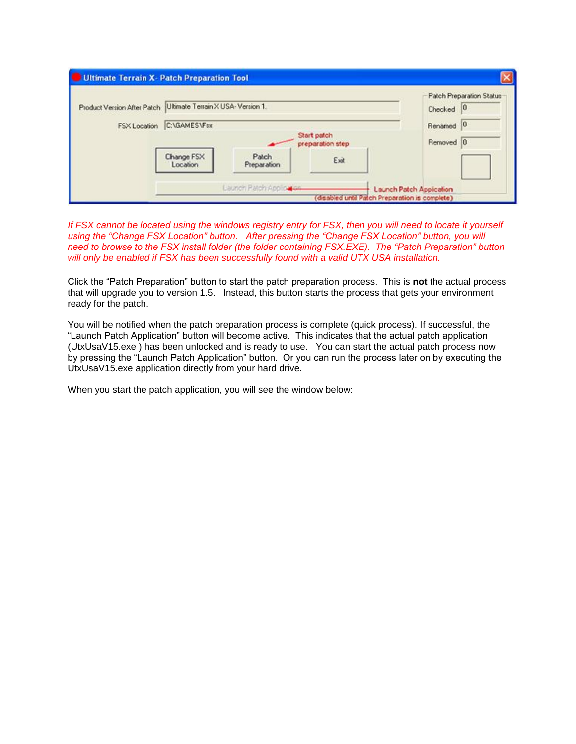|              |                                                                 |                                 |           | <b>Patch Preparation Status</b> |
|--------------|-----------------------------------------------------------------|---------------------------------|-----------|---------------------------------|
|              | Product Version After Patch   Ultimate Terrain X USA-Version 1. |                                 |           | Checked 0                       |
| FSX Location | C:\GAMES\Fsx                                                    |                                 |           | Renamed <sup>0</sup>            |
|              |                                                                 | Start patch<br>preparation step | Removed 0 |                                 |
|              | Change FSX<br>Location                                          | Patch<br>Preparation            | Exit      |                                 |

*If FSX cannot be located using the windows registry entry for FSX, then you will need to locate it yourself using the "Change FSX Location" button. After pressing the "Change FSX Location" button, you will need to browse to the FSX install folder (the folder containing FSX.EXE). The "Patch Preparation" button will only be enabled if FSX has been successfully found with a valid UTX USA installation.* 

Click the "Patch Preparation" button to start the patch preparation process. This is **not** the actual process that will upgrade you to version 1.5. Instead, this button starts the process that gets your environment ready for the patch.

You will be notified when the patch preparation process is complete (quick process). If successful, the "Launch Patch Application" button will become active. This indicates that the actual patch application (UtxUsaV15.exe ) has been unlocked and is ready to use. You can start the actual patch process now by pressing the "Launch Patch Application" button. Or you can run the process later on by executing the UtxUsaV15.exe application directly from your hard drive.

When you start the patch application, you will see the window below: